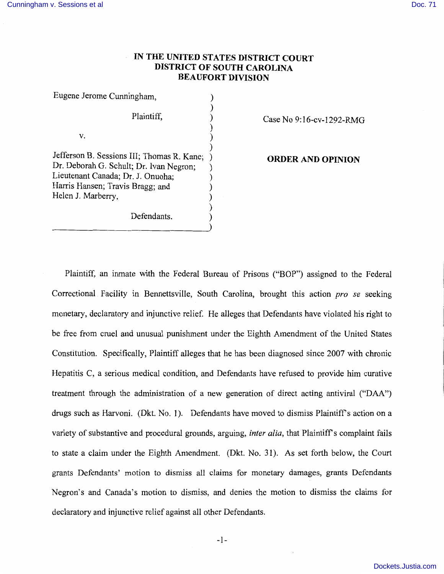# **IN THE UNITED STATES DISTRICT COURT DISTRICT OF SOUTH CAROLINA BEAUFORT DIVISION**

| Eugene Jerome Cunningham,                                                                   |  |
|---------------------------------------------------------------------------------------------|--|
| Plaintiff,                                                                                  |  |
| v.                                                                                          |  |
| Jefferson B. Sessions III; Thomas R. Kane;<br>Dr. Deborah G. Schult; Dr. Ivan Negron;       |  |
| Lieutenant Canada; Dr. J. Onuoha;<br>Harris Hansen; Travis Bragg; and<br>Helen J. Marberry, |  |
| Defendants.                                                                                 |  |

Case No 9:16-cv-1292-RMG

**ORDER AND OPINION** 

Plaintiff, an inmate with the Federal Bureau of Prisons ("BOP") assigned to the Federal Correctional Facility in Bennettsville, South Carolina, brought this action *pro se* seeking monetary, declaratory and injunctive relief. He alleges that Defendants have violated his right to be free from cruel and unusual punishment under the Eighth Amendment of the United States Constitution. Specifically, Plaintiff alleges that he has been diagnosed since 2007 with chronic Hepatitis C, a serious medical condition, and Defendants have refused to provide him curative treatment through the administration of a new generation of direct acting antiviral ("DAA") drugs such as Harvoni. (Dkt. No. 1). Defendants have moved to dismiss Plaintiff's action on a variety of substantive and procedural grounds, arguing, *inter alia,* that Plaintiffs complaint fails to state a claim under the Eighth Amendment. (Dkt. No. 31 ). As set forth below, the Court grants Defendants' motion to dismiss all claims for monetary damages, grants Defendants Negron's and Canada's motion to dismiss, and denies the motion to dismiss the claims for declaratory and injunctive relief against all other Defendants.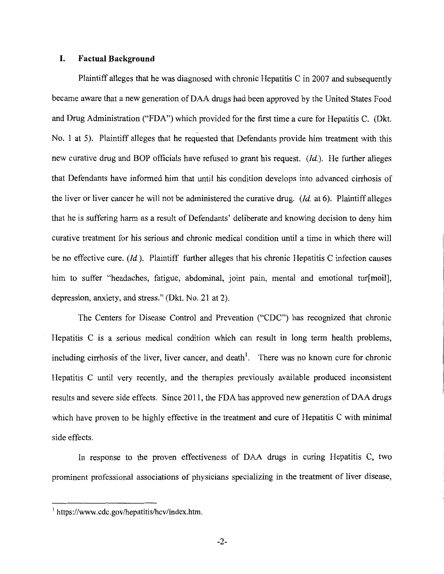#### **I. Factual Background**

Plaintiff alleges that he was diagnosed with chronic Hepatitis C in 2007 and subsequently became aware that a new generation of DAA drugs had been approved by the United States Food and Drug Administration ("FDA") which provided for the first time a cure for Hepatitis C. (Dkt. No. 1 at 5). Plaintiff alleges that he requested that Defendants provide him treatment with this new curative drug and BOP officials have refused to grant his request. *(Id.).* He further alleges that Defendants have informed him that until his condition develops into advanced cirrhosis of the liver or liver cancer he will not be administered the curative drug. *(Id.* at 6). Plaintiff alleges that he is suffering harm as a result of Defendants' deliberate and knowing decision to deny him curative treatment for his serious and chronic medical condition until a time in which there will be no effective cure. *(Id.).* Plaintiff further alleges that his chronic Hepatitis C infection causes him to suffer "headaches, fatigue, abdominal, joint pain, mental and emotional tur[moil], depression, anxiety, and stress." (Dkt. No. 21 at 2).

The Centers for Disease Control and Prevention ("CDC") has recognized that chronic Hepatitis C is a serious medical condition which can result in long term health problems, including cirrhosis of the liver, liver cancer, and death<sup>1</sup>. There was no known cure for chronic Hepatitis C until very recently, and the therapies previously available produced inconsistent results and severe side effects. Since 2011, the FDA has approved new generation of DAA drugs which have proven to be highly effective in the treatment and cure of Hepatitis C with minimal side effects.

In response to the proven effectiveness of DAA drugs in curing Hepatitis C, two prominent professional associations of physicians specializing in the treatment of liver disease,

<sup>1</sup>https://www.cdc.gov/hepatitis/hcv/index.htm.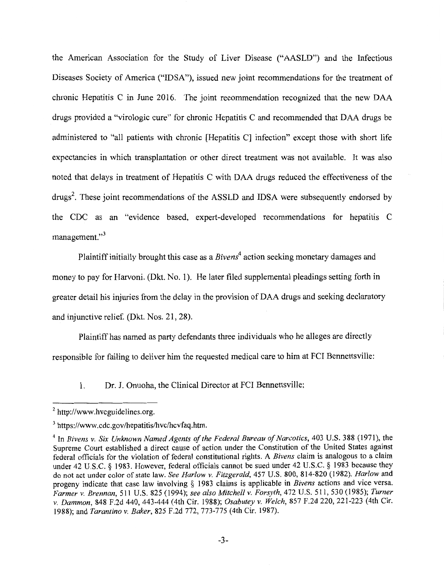the American Association for the Study of Liver Disease ("AASLD") and the Infectious Diseases Society of America ("IDSA"), issued new joint recommendations for the treatment of chronic Hepatitis C in June 2016. The joint recommendation recognized that the new DAA drugs provided a "virologic cure" for chronic Hepatitis C and recommended that DAA drugs be administered to "all patients with chronic [Hepatitis C] infection" except those with short life expectancies in which transplantation or other direct treatment was not available. It was also noted that delays in treatment of Hepatitis C with DAA drugs reduced the effectiveness of the drugs<sup>2</sup>. These joint recommendations of the ASSLD and IDSA were subsequently endorsed by the CDC as an "evidence based, expert-developed recommendations for hepatitis C management."<sup>3</sup>

Plaintiff initially brought this case as a *Bivens*<sup>4</sup> action seeking monetary damages and money to pay for Harvoni. (Dkt. No. 1). He later filed supplemental pleadings setting forth in greater detail his injuries from the delay in the provision of DAA drugs and seeking declaratory and injunctive relief. (Dkt. Nos. 21, 28).

Plaintiff has named as party defendants three individuals who he alleges are directly responsible for failing to deliver him the requested medical care to him at FCI Bennettsville:

1. Dr. J. Onuoha, the Clinical Director at FCI Bennettsville;

<sup>&</sup>lt;sup>2</sup> http://www.hvcguidelines.org.

<sup>&</sup>lt;sup>3</sup> https://www.cdc.gov/hepatitis/hvc/hcvfaq.htm.

<sup>&</sup>lt;sup>4</sup> In *Bivens v. Six Unknown Named Agents of the Federal Bureau of Narcotics*, 403 U.S. 388 (1971), the Supreme Court established a direct cause of action under the Constitution of the United States against federal officials for the violation of federal constitutional rights. A *Bivens* claim is analogous to a claim under 42 U.S.C. § 1983. However, federal officials cannot be sued under 42 U.S.C. § 1983 because they do not act under color of state law. *See Harlow v. Fitzgerald,* 457 U.S. 800, 814-820 (1982). *Harlow* and progeny indicate that case law involving § 1983 claims is applicable in *Bivens* actions and vice versa. *Farmer v. Brennan,* 511 U.S. 825 (1994); *see also Mitchell v. Forsyth,* 472 U.S. 511, 530 (1985); *Turner v. Dammon,* 848 F.2d 440, 443-444 (4th Cir. 1988); *Osabutey v. Welch,* 857 F.2d 220, 221-223 (4th Cir. 1988); and *Tarantino v. Baker,* 825 F.2d 772, 773-775 (4th Cir. 1987).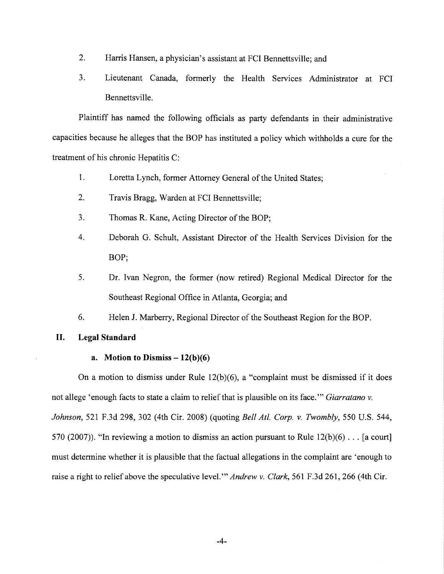- 2. Harris Hansen, a physician's assistant at FCI Bennettsville; and
- 3. Lieutenant Canada, formerly the Health Services Administrator at FCI Bennettsville.

Plaintiff has named the following officials as party defendants in their administrative capacities because he alleges that the BOP has instituted a policy which withholds a cure for the treatment of his chronic Hepatitis C:

- 1. Loretta Lynch, former Attorney General of the United States;
- 2. Travis Bragg, Warden at FCI Bennettsville;
- 3. Thomas R. Kane, Acting Director of the BOP;
- 4. Deborah G. Schult, Assistant Director of the Health Services Division for the BOP;
- 5. Dr. Ivan Negron, the former (now retired) Regional Medical Director for the Southeast Regional Office in Atlanta, Georgia; and
- 6. Helen J. Marberry, Regional Director of the Southeast Region for the BOP.

## **II. Legal Standard**

## **a.** Motion to Dismiss  $-12(b)(6)$

On a motion to dismiss under Rule 12(b)(6), a "complaint must be dismissed if it does not allege 'enough facts to state a claim to relief that is plausible on its face."' *Giarratano v. Johnson,* 521 F.3d 298, 302 (4th Cir. 2008) (quoting *Bell At!. Corp. v. Twombly,* 550 U.S. 544, 570 (2007)). "In reviewing a motion to dismiss an action pursuant to Rule  $12(b)(6)$ ... [a court] must determine whether it is plausible that the factual allegations in the complaint are 'enough to raise a right to relief above the speculative level."' *Andrew v. Clark,* 561 F .3d 261, 266 (4th Cir.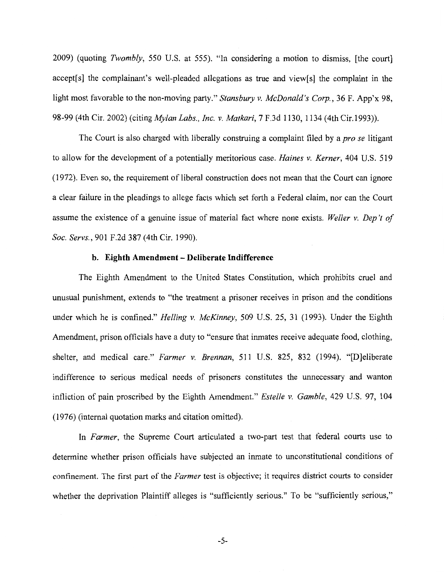2009) (quoting *Twombly,* 550 U.S. at 555). "In considering a motion to dismiss, [the court] accept[s] the complainant's well-pleaded allegations as true and view[s] the complaint in the light most favorable to the non-moving party." *Stansbury v. McDonald's Corp.,* 36 F. App'x 98, 98-99 (4th Cir. 2002) (citing *Mylan Labs., Inc. v. Matkari,* 7 F.3d 1130, 1134 (4th Cir.1993)).

The Court is also charged with liberally construing a complaint filed by a *pro se* litigant to allow for the development of a potentially meritorious case. *Haines v. Kerner,* 404 U.S. 519 (1972). Even so, the requirement of liberal construction does not mean that the Court can ignore a clear failure in the pleadings to allege facts which set forth a Federal claim, nor can the Court assume the existence of a genuine issue of material fact where none exists. *Weller v. Dep 't of Soc. Servs.,* 901F.2d387 (4th Cir. 1990).

#### **b. Eighth Amendment - Deliberate Indifference**

The Eighth Amendment to the United States Constitution, which prohibits cruel and unusual punishment, extends to "the treatment a prisoner receives in prison and the conditions under which he is confined." *Helling v. McKinney,* 509 U.S. 25, 31 (1993). Under the Eighth Amendment, prison officials have a duty to "ensure that inmates receive adequate food, clothing, shelter, and medical care." *Farmer v. Brennan,* 511 U.S. 825, 832 (1994). "[D]eliberate indifference to serious medical needs of prisoners constitutes the unnecessary and wanton infliction of pain proscribed by the Eighth Amendment." *Estelle v. Gamble,* 429 U.S. 97, 104 (1976) (internal quotation marks and citation omitted).

In *Farmer,* the Supreme Court articulated a two-part test that federal courts use to determine whether prison officials have subjected an inmate to unconstitutional conditions of confinement. The first part of the *Farmer* test is objective; it requires district courts to consider whether the deprivation Plaintiff alleges is "sufficiently serious." To be "sufficiently serious,"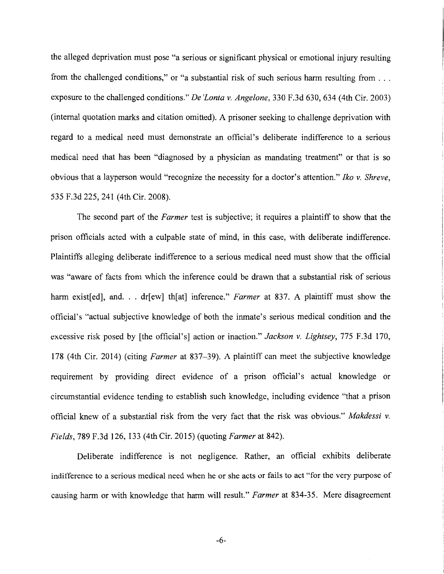the alleged deprivation must pose "a serious or significant physical or emotional injury resulting from the challenged conditions," or "a substantial risk of such serious harm resulting from ... exposure to the challenged conditions." *De 'Lonta v. Angelone,* 330 F.3d 630, 634 (4th Cir. 2003) (internal quotation marks and citation omitted). A prisoner seeking to challenge deprivation with regard to a medical need must demonstrate an official's deliberate indifference to a serious medical need that has been "diagnosed by a physician as mandating treatment" or that is so obvious that a layperson would "recognize the necessity for a doctor's attention." *Iko v. Shreve,*  535 F.3d 225, 241 (4th Cir. 2008).

The second part of the *Farmer* test is subjective; it requires a plaintiff to show that the prison officials acted with a culpable state of mind, in this case, with deliberate indifference. Plaintiffs alleging deliberate indifference to a serious medical need must show that the official was "aware of facts from which the inference could be drawn that a substantial risk of serious harm existed, and ... dr [ew] th[at] inference." *Farmer* at 837. A plaintiff must show the official's "actual subjective knowledge of both the inmate's serious medical condition and the excessive risk posed by [the official's] action or inaction." *Jackson v. Lightsey,* 775 F.3d 170, 178 (4th Cir. 2014) (citing *Farmer* at 837-39). A plaintiff can meet the subjective knowledge requirement by providing direct evidence of a prison official's actual knowledge or circumstantial evidence tending to establish such knowledge, including evidence "that a prison official knew of a substantial risk from the very fact that the risk was obvious." *Makdessi v. Fields,* 789 F.3d 126, 133 (4th Cir. 2015) (quoting *Farmer* at 842).

Deliberate indifference is not negligence. Rather, an official exhibits deliberate indifference to a serious medical need when he or she acts or fails to act "for the very purpose of causing harm or with knowledge that harm will result." *Farmer* at 834-35. Mere disagreement

-6-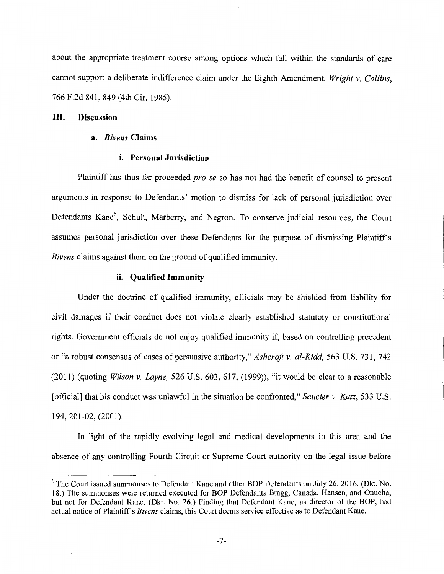about the appropriate treatment course among options which fall within the standards of care cannot support a deliberate indifference claim under the Eighth Amendment. *Wright v. Collins,*  766 F.2d 841, 849 (4th Cir. 1985).

### **III. Discussion**

#### **a.** *Bivens* **Claims**

#### **i. Personal Jurisdiction**

Plaintiff has thus far proceeded *pro se* so has not had the benefit of counsel to present arguments in response to Defendants' motion to dismiss for lack of personal jurisdiction over Defendants Kane<sup>5</sup>, Schult, Marberry, and Negron. To conserve judicial resources, the Court assumes personal jurisdiction over these Defendants for the purpose of dismissing Plaintiffs *Bivens* claims against them on the ground of qualified immunity.

#### **ii. Qualified Immunity**

Under the doctrine of qualified immunity, officials may be shielded from liability for civil damages if their conduct does not violate clearly established statutory or constitutional rights. Government officials do not enjoy qualified immunity if, based on controlling precedent or "a robust consensus of cases of persuasive authority," *Ashcroft v. al-Kidd,* 563 U.S. 731, 742 (2011) (quoting *Wilson v. Layne,* 526 U.S. 603, 617, (1999)), "it would be clear to a reasonable [official] that his conduct was unlawful in the situation he confronted," *Saucier v. Katz,* 533 U.S. 194, 201-02, (2001 ).

In light of the rapidly evolving legal and medical developments in this area and the absence of any controlling Fourth Circuit or Supreme Court authority on the legal issue before

<sup>&</sup>lt;sup>5</sup> The Court issued summonses to Defendant Kane and other BOP Defendants on July 26, 2016. (Dkt. No. 18.) The summonses were returned executed for BOP Defendants Bragg, Canada, Hansen, and Onuoha, but not for Defendant Kane. (Dkt. No. 26.) Finding that Defendant Kane, as director of the BOP, had actual notice of Plaintiff's *Bivens* claims, this Court deems service effective as to Defendant Kane.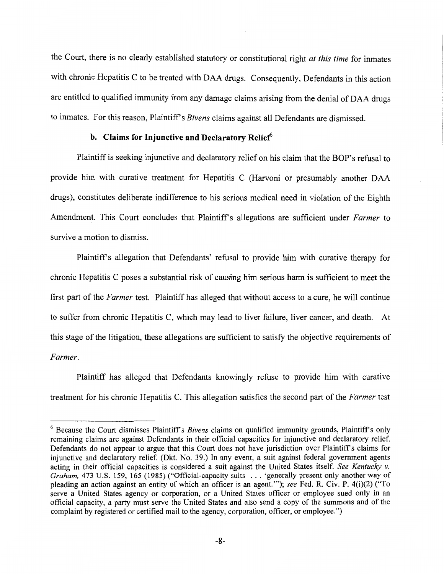the Court, there is no clearly established statutory or constitutional right *at this time* for inmates with chronic Hepatitis C to be treated with DAA drugs. Consequently, Defendants in this action are entitled to qualified immunity from any damage claims arising from the denial of DAA drugs to inmates. For this reason, Plaintiff's *Bivens* claims against all Defendants are dismissed.

# **b.** Claims for Injunctive and Declaratory Relief<sup>6</sup>

Plaintiff is seeking injunctive and declaratory relief on his claim that the BOP's refusal to provide him with curative treatment for Hepatitis C (Harvoni or presumably another DAA drugs), constitutes deliberate indifference to his serious medical need in violation of the Eighth Amendment. This Court concludes that Plaintiff's allegations are sufficient under *Farmer* to survive a motion to dismiss.

Plaintiffs allegation that Defendants' refusal to provide him with curative therapy for chronic Hepatitis C poses a substantial risk of causing him serious harm is sufficient to meet the first part of the *Farmer* test. Plaintiff has alleged that without access to a cure, he will continue to suffer from chronic Hepatitis C, which may lead to liver failure, liver cancer, and death. At this stage of the litigation, these allegations are sufficient to satisfy the objective requirements of *Farmer.* 

Plaintiff has alleged that Defendants knowingly refuse to provide him with curative treatment for his chronic Hepatitis C. This allegation satisfies the second part of the *Farmer* test

<sup>&</sup>lt;sup>6</sup> Because the Court dismisses Plaintiff's *Bivens* claims on qualified immunity grounds, Plaintiff's only remaining claims are against Defendants in their official capacities for injunctive and declaratory relief. Defendants do not appear to argue that this Court does not have jurisdiction over Plaintiff's claims for injunctive and declaratory relief. (Dkt. No. 39.) In any event, a suit against federal government agents acting in their official capacities is considered a suit against the United States itself. *See Kentucky v. Graham,* 473 U.S. 159, 165 (1985) ("Official-capacity suits ... 'generally present only another way of pleading an action against an entity of which an officer is an agent.'"); *see* Fed. R. Civ. P. 4(i)(2) ("To serve a United States agency or corporation, or a United States officer or employee sued only in an official capacity, a party must serve the United States and also send a copy of the summons and of the complaint by registered or certified mail to the agency, corporation, officer, or employee.")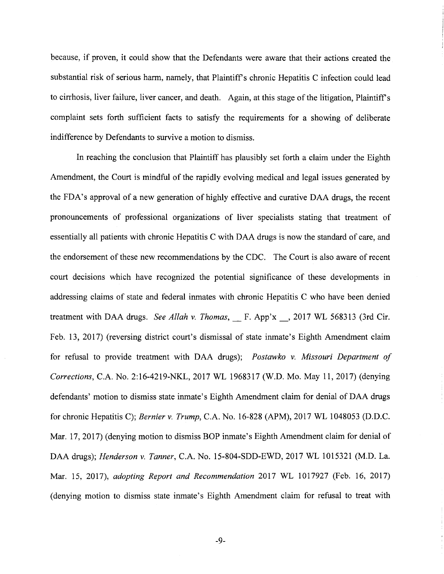because, if proven, it could show that the Defendants were aware that their actions created the substantial risk of serious harm, namely, that Plaintiff's chronic Hepatitis C infection could lead to cirrhosis, liver failure, liver cancer, and death. Again, at this stage of the litigation, Plaintiff's complaint sets forth sufficient facts to satisfy the requirements for a showing of deliberate indifference by Defendants to survive a motion to dismiss.

In reaching the conclusion that Plaintiff has plausibly set forth a claim under the Eighth Amendment, the Court is mindful of the rapidly evolving medical and legal issues generated by the FDA's approval of a new generation of highly effective and curative DAA drugs, the recent pronouncements of professional organizations of liver specialists stating that treatment of essentially all patients with chronic Hepatitis C with DAA drugs is now the standard of care, and the endorsement of these new recommendations by the CDC. The Court is also aware of recent court decisions which have recognized the potential significance of these developments in addressing claims of state and federal inmates with chronic Hepatitis C who have been denied treatment with DAA drugs. *See Allah v. Thomas,\_* F. App'x \_, 2017 WL 568313 (3rd Cir. Feb. 13, 2017) (reversing district court's dismissal of state inmate's Eighth Amendment claim for refusal to provide treatment with DAA drugs); *Postawko v. Missouri Department of Corrections,* C.A. No. 2:16-4219-NKL, 2017 WL 1968317 (W.D. Mo. May 11, 2017) (denying defendants' motion to dismiss state inmate's Eighth Amendment claim for denial of DAA drugs for chronic Hepatitis C); *Bernier v. Trump,* C.A. No. 16-828 (APM), 2017 WL 1048053 (D.D.C. Mar. 17, 2017) (denying motion to dismiss BOP inmate's Eighth Amendment claim for denial of DAA drugs); *Henderson v. Tanner,* C.A. No. 15-804-SDD-EWD, 2017 WL 1015321 (M.D. La. Mar. 15, 2017), *adopting Report and Recommendation* 2017 WL 1017927 (Feb. 16, 2017) (denying motion to dismiss state inmate's Eighth Amendment claim for refusal to treat with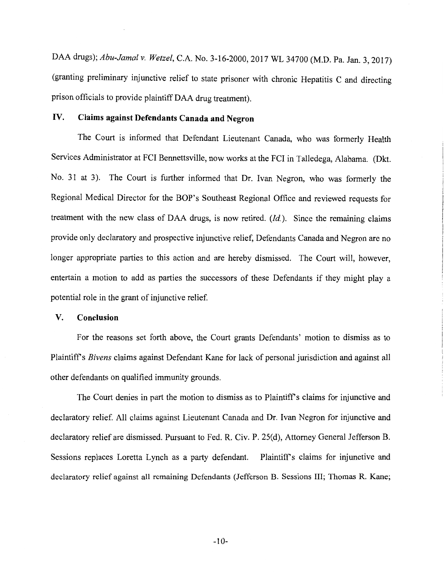DAA drugs); *Abu-Jamal v. Wetzel,* C.A. No. 3-16-2000, 2017 WL 34700 (M.D. Pa. Jan. 3, 2017) (granting preliminary injunctive relief to state prisoner with chronic Hepatitis C and directing prison officials to provide plaintiff DAA drug treatment).

# IV. **Claims against Defendants Canada and Negron**

The Court is informed that Defendant Lieutenant Canada, who was formerly Health Services Administrator at FCI Bennettsville, now works at the FCI in Talledega, Alabama. (Dkt. No. 31 at 3). The Court is further informed that Dr. Ivan Negron, who was formerly the Regional Medical Director for the BOP's Southeast Regional Office and reviewed requests for treatment with the new class of DAA drugs, is now retired. *(Id.).* Since the remaining claims provide only declaratory and prospective injunctive relief, Defendants Canada and Negron are no longer appropriate parties to this action and are hereby dismissed. The Court will, however, entertain a motion to add as parties the successors of these Defendants if they might play a potential role in the grant of injunctive relief.

## **V. Conclusion**

For the reasons set forth above, the Court grants Defendants' motion to dismiss as to Plaintiffs *Bivens* claims against Defendant Kane for lack of personal jurisdiction and against all other defendants on qualified immunity grounds.

The Court denies in part the motion to dismiss as to Plaintiff's claims for injunctive and declaratory relief. All claims against Lieutenant Canada and Dr. Ivan Negron for injunctive and declaratory relief are dismissed. Pursuant to Fed. R. Civ. P. 25(d), Attorney General Jefferson B. Sessions replaces Loretta Lynch as a party defendant. Plaintiff's claims for injunctive and declaratory relief against all remaining Defendants (Jefferson B. Sessions III; Thomas R. Kane;